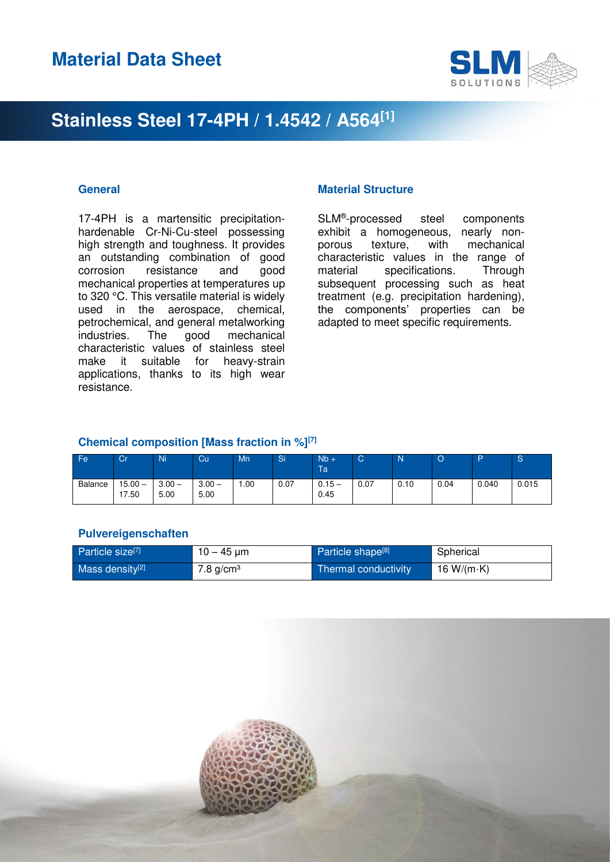

17-4PH is a martensitic precipitationhardenable Cr-Ni-Cu-steel possessing high strength and toughness. It provides an outstanding combination of good corrosion resistance and good mechanical properties at temperatures up to 320 °C. This versatile material is widely used in the aerospace, chemical, petrochemical, and general metalworking industries. The good mechanical characteristic values of stainless steel make it suitable for heavy-strain applications, thanks to its high wear resistance.

#### **General Contract Contract Contract Contract Contract Contract Contract Contract Contract Contract Contract Contract Contract Contract Contract Contract Contract Contract Contract Contract Contract Contract Contract Contra**

SLM® -processed steel components exhibit a homogeneous, nearly nonporous texture, with mechanical characteristic values in the range of material specifications. Through subsequent processing such as heat treatment (e.g. precipitation hardening), the components' properties can be adapted to meet specific requirements.

### **Chemical composition [Mass fraction in %][7]**

| Fe      | Cr             | Ni               | Cu               | Mn  | Si   | $Nb +$<br>Ta     | ັ    | ÆV.  | w    | D     | $\sim$<br>১ |
|---------|----------------|------------------|------------------|-----|------|------------------|------|------|------|-------|-------------|
| Balance | 15.00<br>17.50 | $3.00 -$<br>5.00 | $3.00 -$<br>5.00 | .00 | 0.07 | $0.15 -$<br>0.45 | 0.07 | 0.10 | 0.04 | 0.040 | 0.015       |

#### **Pulvereigenschaften**

| Particle size <sup>[7]</sup> | $10 - 45 \,\mathrm{\upmu m}$ | Particle shape <sup>[8]</sup> | Spherical          |
|------------------------------|------------------------------|-------------------------------|--------------------|
| Mass density <sup>[2]</sup>  | $7.8$ g/cm <sup>3</sup>      | Thermal conductivity          | 16 W/(m $\cdot$ K) |

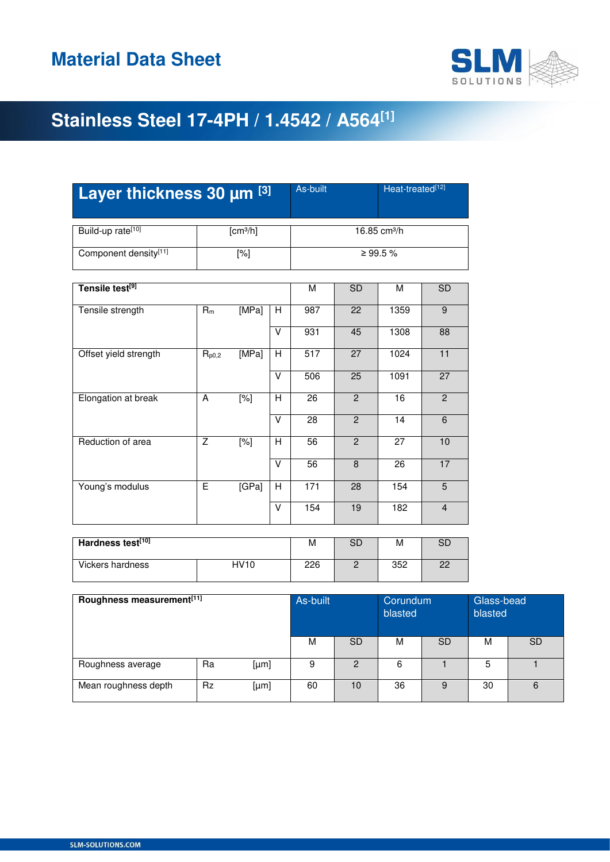

| Layer thickness 30 um [3]              | As-built             | Heat-treated[12] |                         |                         |                          |                     |                  |  |  |
|----------------------------------------|----------------------|------------------|-------------------------|-------------------------|--------------------------|---------------------|------------------|--|--|
| Build-up rate <sup>[10]</sup>          | [cm <sup>3</sup> /h] |                  |                         |                         | 16.85 cm <sup>3</sup> /h |                     |                  |  |  |
| Component density[11]                  |                      | $[\%]$           |                         |                         | ≥ 99.5 %                 |                     |                  |  |  |
| Tensile test <sup>[9]</sup>            |                      |                  |                         | $\overline{\mathsf{M}}$ | SD                       | $\overline{M}$      | SD               |  |  |
| Tensile strength                       | $R_m$                | [MPa]            | H                       | 987                     | 22                       | 1359                | $\boldsymbol{9}$ |  |  |
|                                        |                      |                  | $\vee$                  | 931                     | 45                       | 1308                | $\overline{88}$  |  |  |
| Offset yield strength                  | $R_{p0,2}$           | [MPa]            | H                       | $\overline{517}$        | 27                       | 1024                | $\overline{11}$  |  |  |
|                                        |                      |                  | $\vee$                  | 506                     | $\overline{25}$          | 1091                | $\overline{27}$  |  |  |
| Elongation at break                    | $\overline{A}$       | $\overline{[%]}$ | H                       | 26                      | $\overline{2}$           | 16                  | $\overline{2}$   |  |  |
|                                        |                      |                  | $\overline{\mathsf{v}}$ | $\overline{28}$         | $\overline{2}$           | 14                  | $\overline{6}$   |  |  |
| Reduction of area                      | $\overline{Z}$       | $\overline{[%]}$ | H                       | 56                      | $\overline{2}$           | 27                  | 10               |  |  |
|                                        |                      |                  | $\overline{\mathsf{v}}$ | 56                      | $\overline{8}$           | $\overline{26}$     | 17               |  |  |
| Young's modulus                        | $\overline{E}$       | [GPa]            | H                       | 171                     | $\overline{28}$          | 154                 | 5                |  |  |
|                                        |                      |                  | V                       | 154                     | 19                       | 182                 | $\overline{4}$   |  |  |
| Hardness test <sup>[10]</sup>          |                      |                  | M                       | SD                      | M                        | <b>SD</b>           |                  |  |  |
| <b>HV10</b><br><b>Vickers hardness</b> |                      |                  | $\overline{226}$        | $\overline{2}$          | 352                      | 22                  |                  |  |  |
| Roughness measurement[11]              |                      |                  |                         | As-built                |                          | Corundum<br>blasted |                  |  |  |

|                      |           |      |    |           | blasted |           | blasted |           |
|----------------------|-----------|------|----|-----------|---------|-----------|---------|-----------|
|                      |           |      | M  | <b>SD</b> | M       | <b>SD</b> | М       | <b>SD</b> |
| Roughness average    | Ra        | [µm] | 9  | റ         | 6       |           |         |           |
| Mean roughness depth | <b>Rz</b> | [µm] | 60 | 10        | 36      |           | 30      | 6         |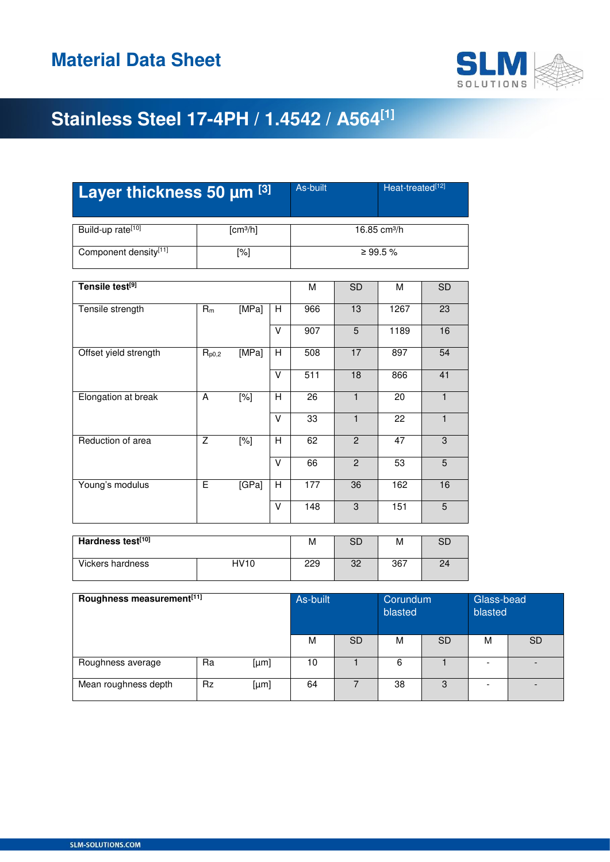

| Layer thickness 50 µm [3]             |                         |                  | As-built                | Heat-treated[12] |                 |                          |                |  |  |  |  |
|---------------------------------------|-------------------------|------------------|-------------------------|------------------|-----------------|--------------------------|----------------|--|--|--|--|
| Build-up rate <sup>[10]</sup>         | [cm <sup>3</sup> /h]    |                  |                         |                  |                 | 16.85 cm <sup>3</sup> /h |                |  |  |  |  |
| Component density[11]                 | $[\%]$                  |                  |                         |                  |                 | ≥ 99.5 %                 |                |  |  |  |  |
| Tensile test <sup>[9]</sup>           | M                       | <b>SD</b>        | M                       | <b>SD</b>        |                 |                          |                |  |  |  |  |
| Tensile strength                      | $R_m$                   | [MPa]            | H                       | 966              | 13              | 1267                     | 23             |  |  |  |  |
|                                       |                         |                  | V                       | 907              | $\overline{5}$  | 1189                     | 16             |  |  |  |  |
| Offset yield strength                 | $R_{p0,2}$              | [MPa]            | $\overline{\mathsf{H}}$ | 508              | 17              | 897                      | 54             |  |  |  |  |
|                                       |                         |                  | V                       | 511              | $\overline{18}$ | 866                      | 41             |  |  |  |  |
| Elongation at break                   | A                       | $\overline{[%]}$ | H                       | $\overline{26}$  | $\mathbf{1}$    | $\overline{20}$          | $\mathbf{1}$   |  |  |  |  |
|                                       |                         |                  | V                       | 33               | $\mathbf{1}$    | 22                       | $\mathbf{1}$   |  |  |  |  |
| Reduction of area                     | $\overline{z}$          | $\overline{[%]}$ | Η                       | 62               | $\overline{2}$  | $\overline{47}$          | $\overline{3}$ |  |  |  |  |
|                                       |                         |                  | $\overline{\mathsf{V}}$ | 66               | $\overline{2}$  | 53                       | $\overline{5}$ |  |  |  |  |
| Young's modulus                       | $\overline{\mathsf{E}}$ | [GPa]            | Η                       | 177              | 36              | 162                      | 16             |  |  |  |  |
|                                       |                         |                  | V                       | 148              | 3               | 151                      | $5\phantom{.}$ |  |  |  |  |
| Hardness test <sup>[10]</sup>         | M                       | <b>SD</b>        | M                       | <b>SD</b>        |                 |                          |                |  |  |  |  |
| <b>Vickers hardness</b>               | 229                     | 32               | 367                     | 24               |                 |                          |                |  |  |  |  |
| Roughness measurement <sup>[11]</sup> | As-built                |                  | Corundum<br>hlactad     |                  | Glas<br>hlaet   |                          |                |  |  |  |  |

| Roughness measurement <sup>[11]</sup> | As-built  |      | Corundum<br>blasted |           | Glass-bead<br>blasted |           |   |           |
|---------------------------------------|-----------|------|---------------------|-----------|-----------------------|-----------|---|-----------|
|                                       |           |      | М                   | <b>SD</b> | M                     | <b>SD</b> | м | <b>SD</b> |
| Roughness average                     | Ra        | [µm] | 10                  |           | 6                     |           |   |           |
| Mean roughness depth                  | <b>Rz</b> | [µm] | 64                  |           | 38                    | 3         |   |           |